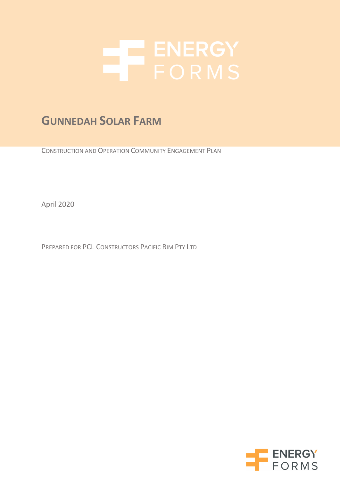

# **GUNNEDAH SOLAR FARM**

CONSTRUCTION AND OPERATION COMMUNITY ENGAGEMENT PLAN

April 2020

PREPARED FOR PCL CONSTRUCTORS PACIFIC RIM PTY LTD

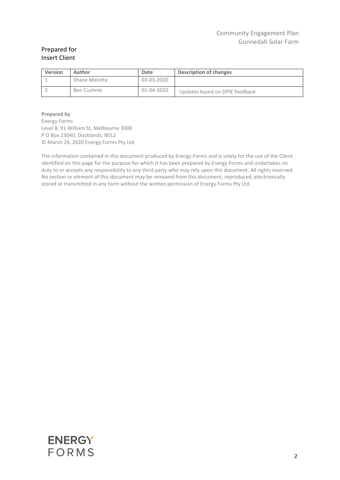#### Prepared for Insert Client

| <b>Version</b> | Author        | Date       | Description of changes         |
|----------------|---------------|------------|--------------------------------|
|                | Shane Melotte | 03-03-2020 |                                |
|                | Ben Cushnie   | 01-04-2020 | Updates based on DPIE feedback |

**Prepared by** Energy Forms Level 8, 91 William St, Melbourne 3000 P O Box 23040, Docklands, 8012 © March 24, 2020 Energy Forms Pty Ltd

The information contained in this document produced by Energy Forms and is solely for the use of the Client identified on this page for the purpose for which it has been prepared by Energy Forms and undertakes no duty to or accepts any responsibility to any third party who may rely upon this document. All rights reserved. No section or element of this document may be removed from this document, reproduced, electronically stored or transmitted in any form without the written permission of Energy Forms Pty Ltd.

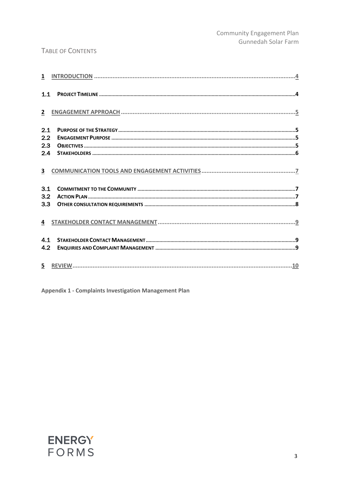#### TABLE OF CONTENTS

| 1.1 | م بالسياسية بالسياسية بالسياسية بالسياسية بالسياسية بالسياسية بالسياسية بالسياسية بالسياسية بالسياسية بالسياسية<br>السياسية بالسياسية بالسياسية بالسياسية بالسياسية بالسياسية بالسياسية بالسياسية بالسياسية بالسياسية بالسياسية |  |
|-----|---------------------------------------------------------------------------------------------------------------------------------------------------------------------------------------------------------------------------------|--|
|     |                                                                                                                                                                                                                                 |  |
| 2.1 |                                                                                                                                                                                                                                 |  |
| 2.2 |                                                                                                                                                                                                                                 |  |
| 2.3 |                                                                                                                                                                                                                                 |  |
| 2.4 |                                                                                                                                                                                                                                 |  |
|     |                                                                                                                                                                                                                                 |  |
| 3.1 |                                                                                                                                                                                                                                 |  |
| 3.2 |                                                                                                                                                                                                                                 |  |
|     |                                                                                                                                                                                                                                 |  |
|     |                                                                                                                                                                                                                                 |  |
| 4.1 |                                                                                                                                                                                                                                 |  |
| 4.2 |                                                                                                                                                                                                                                 |  |
|     |                                                                                                                                                                                                                                 |  |
|     |                                                                                                                                                                                                                                 |  |

Appendix 1 - Complaints Investigation Management Plan

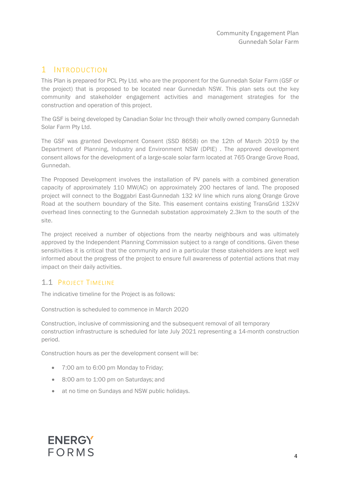### <span id="page-3-0"></span>1 INTRODUCTION

This Plan is prepared for PCL Pty Ltd. who are the proponent for the Gunnedah Solar Farm (GSF or the project) that is proposed to be located near Gunnedah NSW. This plan sets out the key community and stakeholder engagement activities and management strategies for the construction and operation of this project.

The GSF is being developed by Canadian Solar Inc through their wholly owned company Gunnedah Solar Farm Pty Ltd.

The GSF was granted Development Consent (SSD 8658) on the 12th of March 2019 by the Department of Planning, Industry and Environment NSW (DPIE) . The approved development consent allows for the development of a large-scale solar farm located at 765 Orange Grove Road, Gunnedah.

The Proposed Development involves the installation of PV panels with a combined generation capacity of approximately 110 MW(AC) on approximately 200 hectares of land. The proposed project will connect to the Boggabri East-Gunnedah 132 kV line which runs along Orange Grove Road at the southern boundary of the Site. This easement contains existing TransGrid 132kV overhead lines connecting to the Gunnedah substation approximately 2.3km to the south of the site.

The project received a number of objections from the nearby neighbours and was ultimately approved by the Independent Planning Commission subject to a range of conditions. Given these sensitivities it is critical that the community and in a particular these stakeholders are kept well informed about the progress of the project to ensure full awareness of potential actions that may impact on their daily activities.

#### 1.1 PROJECT TIMELINE

The indicative timeline for the Project is as follows:

Construction is scheduled to commence in March 2020

Construction, inclusive of commissioning and the subsequent removal of all temporary construction infrastructure is scheduled for late July 2021 representing a 14-month construction period.

Construction hours as per the development consent will be:

- 7:00 am to 6:00 pm Monday to Friday:
- 8:00 am to 1:00 pm on Saturdays; and
- at no time on Sundays and NSW public holidays.

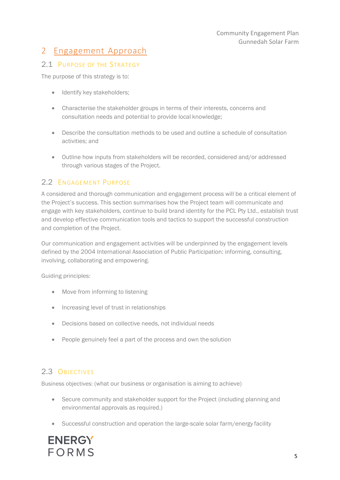# <span id="page-4-0"></span>2 Engagement Approach

#### 2.1 PURPOSE OF THE STRATEGY

The purpose of this strategy is to:

- Identify key stakeholders;
- Characterise the stakeholder groups in terms of their interests, concerns and consultation needs and potential to provide local knowledge;
- Describe the consultation methods to be used and outline a schedule of consultation activities; and
- Outline how inputs from stakeholders will be recorded, considered and/or addressed through various stages of the Project.

#### 2.2 ENGAGEMENT PURPOSE

A considered and thorough communication and engagement process will be a critical element of the Project's success. This section summarises how the Project team will communicate and engage with key stakeholders, continue to build brand identity for the PCL Pty Ltd., establish trust and develop effective communication tools and tactics to support the successful construction and completion of the Project.

Our communication and engagement activities will be underpinned by the engagement levels defined by the 2004 International Association of Public Participation: informing, consulting, involving, collaborating and empowering.

Guiding principles:

- Move from informing to listening
- Increasing level of trust in relationships
- Decisions based on collective needs, not individual needs
- People genuinely feel a part of the process and own the solution

### 2.3 OBJECTIVES

Business objectives: (what our business or organisation is aiming to achieve)

- Secure community and stakeholder support for the Project (including planning and environmental approvals as required.)
- Successful construction and operation the large-scale solar farm/energy facility

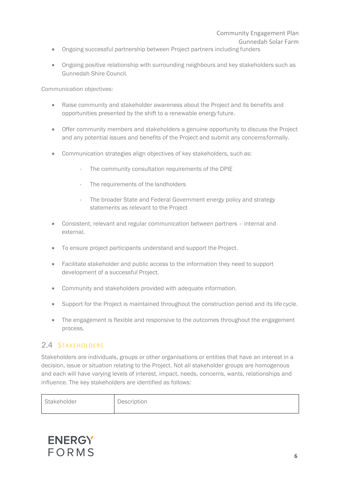#### Community Engagement Plan Gunnedah Solar Farm

- Ongoing successful partnership between Project partners including funders
- Ongoing positive relationship with surrounding neighbours and key stakeholders such as Gunnedah Shire Council.

Communication objectives:

- Raise community and stakeholder awareness about the Project and its benefits and opportunities presented by the shift to a renewable energy future.
- Offer community members and stakeholders a genuine opportunity to discuss the Project and any potential issues and benefits of the Project and submit any concerns formally.
- Communication strategies align objectives of key stakeholders, such as:
	- The community consultation requirements of the DPIE
	- The requirements of the landholders
	- The broader State and Federal Government energy policy and strategy statements as relevant to the Project
- Consistent, relevant and regular communication between partners internal and external.
- To ensure project participants understand and support the Project.
- Facilitate stakeholder and public access to the information they need to support development of a successful Project.
- Community and stakeholders provided with adequate information.
- Support for the Project is maintained throughout the construction period and its life cycle.
- The engagement is flexible and responsive to the outcomes throughout the engagement process.

#### 2.4 STAKEHOLDERS

Stakeholders are individuals, groups or other organisations or entities that have an interest in a decision, issue or situation relating to the Project. Not all stakeholder groups are homogenous and each will have varying levels of interest, impact, needs, concerns, wants, relationships and influence. The key stakeholders are identified as follows:

| Stakeholder | Description |
|-------------|-------------|
|-------------|-------------|

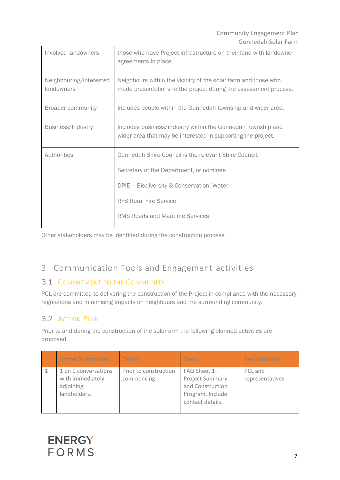| Involved landowners                   | those who have Project infrastructure on their land with landowner<br>agreements in place.                                                                                                                               |
|---------------------------------------|--------------------------------------------------------------------------------------------------------------------------------------------------------------------------------------------------------------------------|
| Neighbouring/interested<br>landowners | Neighbours within the vicinity of the solar farm and those who<br>made presentations to the project during the assessment process.                                                                                       |
| <b>Broader community</b>              | Includes people within the Gunnedah township and wider area.                                                                                                                                                             |
| Business/Industry                     | Includes business/industry within the Gunnedah township and<br>wider area that may be interested in supporting the project.                                                                                              |
| Authorities                           | Gunnedah Shire Council is the relevant Shire Council.<br>Secretary of the Department, or nominee<br>DPIE - Biodiversity & Conservation, Water<br><b>RFS Rural Fire Service</b><br><b>RMS Roads and Maritime Services</b> |

Other stakeholders may be identified during the construction process.

# <span id="page-6-0"></span>3 Communication Tools and Engagement activities

#### 3.1 COMMITMENT TO THE COMMUNITY

PCL are committed to delivering the construction of the Project in compliance with the necessary regulations and minimising impacts on neighbours and the surrounding community.

## 3.2 ACTION PLAN

Prior to and during the construction of the solar arm the following planned activities are proposed.

| <b>Action /Community</b>                                              | Timing                               | Tools                                                                                                   | Responsibility              |
|-----------------------------------------------------------------------|--------------------------------------|---------------------------------------------------------------------------------------------------------|-----------------------------|
| 1 on 1 conversations<br>with immediately<br>adjoining<br>landholders. | Prior to construction<br>commencing. | $FAQ$ Sheet $1 -$<br><b>Project Summary</b><br>and Construction<br>Program. Include<br>contact details. | PCL and<br>representatives. |

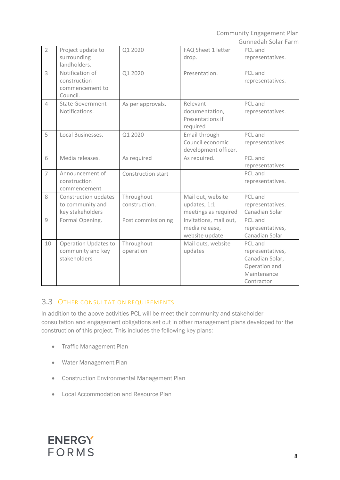Community Engagement Plan Gunnedah Solar Farm

| $\overline{2}$ | Project update to<br>surrounding<br>landholders.                 | Q1 2020                     | FAQ Sheet 1 letter<br>drop.                                | PCL and<br>representatives.                                                                  |
|----------------|------------------------------------------------------------------|-----------------------------|------------------------------------------------------------|----------------------------------------------------------------------------------------------|
|                |                                                                  |                             |                                                            |                                                                                              |
| $\overline{3}$ | Notification of<br>construction<br>commencement to<br>Council.   | Q1 2020                     | Presentation.                                              | PCL and<br>representatives.                                                                  |
| $\Delta$       | <b>State Government</b><br>Notifications.                        | As per approvals.           | Relevant<br>documentation,<br>Presentations if<br>required | PCL and<br>representatives.                                                                  |
| 5              | Local Businesses.                                                | Q1 2020                     | Email through<br>Council economic<br>development officer.  | PCL and<br>representatives.                                                                  |
| 6              | Media releases.                                                  | As required                 | As required.                                               | PCL and<br>representatives.                                                                  |
| $\overline{7}$ | Announcement of<br>construction<br>commencement                  | Construction start          |                                                            | PCL and<br>representatives.                                                                  |
| 8              | Construction updates<br>to community and<br>key stakeholders     | Throughout<br>construction. | Mail out, website<br>updates, 1:1<br>meetings as required  | PCL and<br>representatives.<br>Canadian Solar                                                |
| 9              | Formal Opening.                                                  | Post commissioning          | Invitations, mail out,<br>media release,<br>website update | PCL and<br>representatives,<br>Canadian Solar                                                |
| 10             | <b>Operation Updates to</b><br>community and key<br>stakeholders | Throughout<br>operation     | Mail outs, website<br>updates                              | PCL and<br>representatives,<br>Canadian Solar,<br>Operation and<br>Maintenance<br>Contractor |

### **3.3 OTHER CONSULTATION REQUIREMENTS**

In addition to the above activities PCL will be meet their community and stakeholder consultation and engagement obligations set out in other management plans developed for the construction of this project. This includes the following key plans:

- Traffic Management Plan
- Water Management Plan
- Construction Environmental Management Plan
- Local Accommodation and Resource Plan

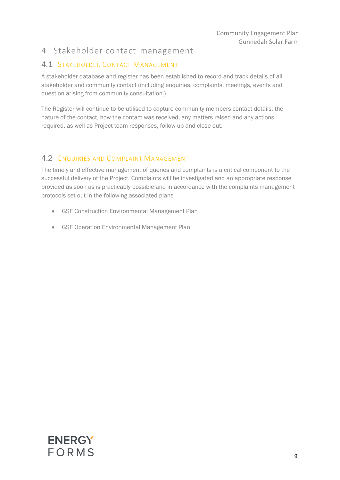# <span id="page-8-0"></span>4 Stakeholder contact management

### 4.1 STAKEHOLDER CONTACT MANAGEMENT

A stakeholder database and register has been established to record and track details of all stakeholder and community contact (including enquiries, complaints, meetings, events and question arising from community consultation.)

The Register will continue to be utilised to capture community members contact details, the nature of the contact, how the contact was received, any matters raised and any actions required, as well as Project team responses, follow-up and close out.

#### 4.2 ENQUIRIES AND COMPLAINT MANAGEMENT

The timely and effective management of queries and complaints is a critical component to the successful delivery of the Project. Complaints will be investigated and an appropriate response provided as soon as is practicably possible and in accordance with the complaints management protocols set out in the following associated plans

- GSF Construction Environmental Management Plan
- **GSF Operation Environmental Management Plan**